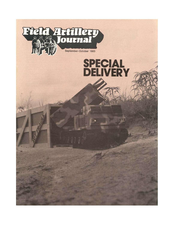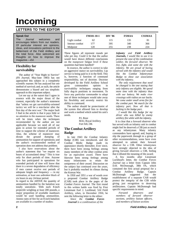# **Incoming**

# **LETTERS TO THE EDITOR**

### **Speak Out**

The *Journal* welcomes and encourages letters from our readers. Of particular interest are opinions, ideas, and innovations pertinent to the betterment of the Field Artillery and the total force. Also welcomed are thoughts on how to improve the magazine.—*Ed.*

## **Flexibility for survivability**

The author of "Your Right to Survive" *(FA Journal,* May-June 1983) has not approached this subject in a completely scientific manner. He has analyzed but one method of survival; and, as such, the article demonstrates a biased and too simplistic approach to this important subject.

Let me say at the outset that I agree in essence with the major thrust of the content, especially the author's statement that "unless we get survivability-oriented tactics we will be a non-factor after the first day of the next war." The major fault I find in the article is that it pays little or no attention to the maneuver needs. There will be times when the techniques recommended by the author are not applicable because we need all of our guns in action for extended periods of time to support the scheme of maneuver. Also, the scheme of maneuver may dictate the ground dumping of ammunition for support of operations; and the author's recommended method of operation does not address that problem.

I also have reservations about the author's statement that "we require six hours of accumulated sleep." This is true only for short periods of time. Anyone who has participated in operations for extended periods of time will know that there is a severe degradation of efficiency if men cannot receive rest periods of adequate length and frequency — in my estimation, at least one *unbroken* block of six hours in any 24-hour period.

In regard to the ARTEP, the quantity of ammunition handled by the battalion was totally unrealistic. With each 8-inch projectile weighing at least 200 pounds, a major proportion of available manhours would be used handling ammunition. Ammo rates of fire for an 8-inch battalion are available in a number of studies:

|                | <b>FM101-10-1</b> | DIV '86 | <b>FSMAA</b> | <b>CSSMAA</b> |
|----------------|-------------------|---------|--------------|---------------|
| Light combat   | 62                | 115     | 135          | 81            |
| Intense combat | 177               | 395     | 340          | 366           |
| Midpoint       | 20                | 255     | 238          | 224           |

These figures all represent rounds per tube per day. Could it be that the author would have drawn different conclusions on the manpower fatigue level if these quantities had been handled?

In essence, the author is correct to take an aggressive stance on survivability. Lip service is being paid to it in the field. This is, however, a function of command responsibility, not of doctrine. Doctrine developed by the Field Artillery School gives commanders options in survivability techniques ranging from fully dug-in positions to movement. To force any particular commander to adopt one of these techniques would take away his flexibility and severely restrict his ability to command.

The author should be protectionist of the system that allowed him to develop and work a method which suited his unit's needs.

> P.I. Rose MAJ, Royal Artillery Fort Sill, OK

## **The Combat Artillery Badge**

In late 1943 the Combat Infantry Badge (CIB) was introduced, and the Combat Medic Badge made its appearance shortly thereafter. Ever since, there have been strong feelings among many members of the other combat arms for an equivalent award. There have likewise been strong feelings among many infantrymen to retain the uniqueness of their award. Discussion on the subject has continued over the years, but it probably reached its climax during the Korean War.

In 1950 and 1951 a war of words over a proposed Combat Artillery Badge (CAB) took place in the pages of the *Combat Forces Journal.* The first round in this written battle was fired by First Lieutenant Earl J. Lockhead, 52d Field Artillery, when, in December 1950, he sent the following letter to the editor:

*Since the Combat Forces Journal is a combination of the*

*Infantry and Field Artillery Journals, I would like to use it to present the case of the combination soldier, the forward observer. We live, fight, and some die with the infantry. We are proud of having served with the infantry and would like the Combat Infantryman Badge to show our association with the infantry.*

*The only requirement that need be changed is the one stating that only infantry are eligible. We spend more time with the infantry than with our battery. We make river crossings with radios on our backs. We come under small arms fire for the combat part. We march for the infantry part. Now all that is lacking is the badge part.*

*I would like this badge for my driver who was killed by enemy artillery fire while with the infantry.*

It is clear that a forward observer who has served with an infantry unit in combat might feel he deserved a CIB just as much as any infantryman. Many infantry commanders have agreed; and, hoping to slip the paperwork through in a group of other recommendations, some have even attempted to submit their forward observer for a CIB. Other infantrymen have strongly objected to the idea of giving forward observers a CIB, feeling that it diluted the meaning of the award.

A few months after Lieutenant Lockhead's letter, the *Combat Forces Journal* ran a letter from Captain John D.H. McDonough, 38th FA, which contained the first actual proposal for a Combat Artillery Badge. Captain McDonough suggested that the establishment of a separate CAB would protect the integrity of the CIB while giving just recognition to deserving artillerymen. Captain McDonough had specific requirements in mind:

*Forward observers and members of forward observer sections, artillery liaison officers, and members of liaison sections*

**2** *Field Artillery Journal*